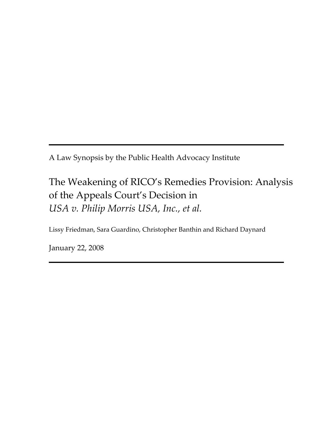A Law Synopsis by the Public Health Advocacy Institute

# The Weakening of RICO's Remedies Provision: Analysis of the Appeals Court's Decision in *USA v. Philip Morris USA, Inc., et al.*

Lissy Friedman, Sara Guardino, Christopher Banthin and Richard Daynard

January 22, 2008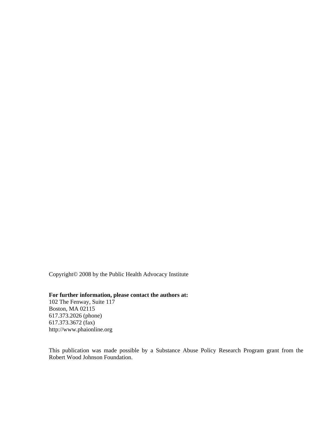Copyright© 2008 by the Public Health Advocacy Institute

### **For further information, please contact the authors at:**

102 The Fenway, Suite 117 Boston, MA 02115 617.373.2026 (phone) 617.373.3672 (fax) http://www.phaionline.org

This publication was made possible by a Substance Abuse Policy Research Program grant from the Robert Wood Johnson Foundation.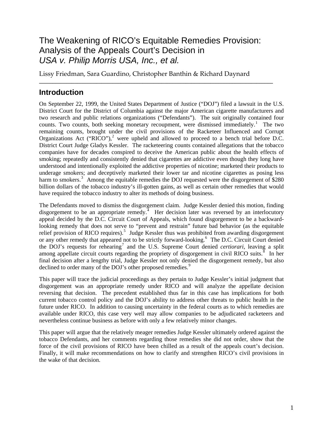# The Weakening of RICO's Equitable Remedies Provision: Analysis of the Appeals Court's Decision in *USA v. Philip Morris USA, Inc., et al.*

**\_\_\_\_\_\_\_\_\_\_\_\_\_\_\_\_\_\_\_\_\_\_\_\_\_\_\_\_\_\_\_\_\_\_\_\_\_\_\_\_\_\_\_\_\_\_\_\_\_\_\_\_\_\_\_\_\_\_\_\_\_\_\_\_\_\_\_\_\_\_\_\_\_\_\_\_\_\_\_\_\_\_\_\_\_\_** 

Lissy Friedman, Sara Guardino, Christopher Banthin & Richard Daynard

# **Introduction**

On September 22, 1999, the United States Department of Justice ("DOJ") filed a lawsuit in the U.S. District Court for the District of Columbia against the major American cigarette manufacturers and two research and public relations organizations ("Defendants"). The suit originally contained four counts. Two counts, both seeking monetary recoupment, were dismissed immediately.<sup>[1](#page-20-0)</sup> The two remaining counts, brought under the civil provisions of the Racketeer Influenced and Corrupt Organizations Act ("RICO"),<sup>[2](#page-20-1)</sup> were upheld and allowed to proceed to a bench trial before D.C. District Court Judge Gladys Kessler. The racketeering counts contained allegations that the tobacco companies have for decades conspired to deceive the American public about the health effects of smoking; repeatedly and consistently denied that cigarettes are addictive even though they long have understood and intentionally exploited the addictive properties of nicotine; marketed their products to underage smokers; and deceptively marketed their lower tar and nicotine cigarettes as posing less harm to smokers.<sup>[3](#page-20-1)</sup> Among the equitable remedies the DOJ requested were the disgorgement of \$280 billion dollars of the tobacco industry's ill-gotten gains, as well as certain other remedies that would have required the tobacco industry to alter its methods of doing business.

The Defendants moved to dismiss the disgorgement claim. Judge Kessler denied this motion, finding disgorgement to be an appropriate remedy.<sup>[4](#page-20-1)</sup> Her decision later was reversed by an interlocutory appeal decided by the D.C. Circuit Court of Appeals, which found disgorgement to be a backwardlooking remedy that does not serve to "prevent and restrain" future bad behavior (as the equitable relief provision of RICO requires).<sup>[5](#page-20-1)</sup> Judge Kessler thus was prohibited from awarding disgorgement or any other remedy that appeared not to be strictly forward-looking.<sup>[6](#page-20-1)</sup> The D.C. Circuit Court denied the DOJ's requests for rehearing<sup>[7](#page-20-1)</sup> and the U.S. Supreme Court denied *certiorari*, leaving a split among appellate circuit courts regarding the propriety of disgorgement in civil RICO suits. $\frac{8}{10}$  $\frac{8}{10}$  $\frac{8}{10}$  In her final decision after a lengthy trial, Judge Kessler not only denied the disgorgement remedy, but also declined to order many of the DOJ's other proposed remedies.<sup>[9](#page-20-1)</sup>

This paper will trace the judicial proceedings as they pertain to Judge Kessler's initial judgment that disgorgement was an appropriate remedy under RICO and will analyze the appellate decision reversing that decision. The precedent established thus far in this case has implications for both current tobacco control policy and the DOJ's ability to address other threats to public health in the future under RICO. In addition to causing uncertainty in the federal courts as to which remedies are available under RICO, this case very well may allow companies to be adjudicated racketeers and nevertheless continue business as before with only a few relatively minor changes.

This paper will argue that the relatively meager remedies Judge Kessler ultimately ordered against the tobacco Defendants, and her comments regarding those remedies she did not order, show that the force of the civil provisions of RICO have been chilled as a result of the appeals court's decision. Finally, it will make recommendations on how to clarify and strengthen RICO's civil provisions in the wake of that decision.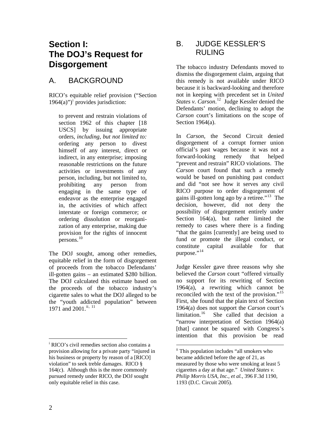# **Section I: The DOJ's Request for Disgorgement**

# A. BACKGROUND

RICO's equitable relief provision ("Section  $1964(a)$ ")<sup>[i](#page-3-0)</sup> provides jurisdiction:

to prevent and restrain violations of section 1962 of this chapter [[18](http://www.lexis.com/research/buttonTFLink?_m=c14af2bea2eebf58364b81d002c4656d&_xfercite=%3ccite%20cc%3d%22USA%22%3e%3c%21%5bCDATA%5b18%20USCS%20%a7%201964%5d%5d%3e%3c%2fcite%3e&_butType=4&_butStat=0&_butNum=3&_butInline=1&_butinfo=18%20USC%201962&_fmtstr=FULL&docnum=1&_startdoc=1&wchp=dGLbVlb-zSkAB&_md5=dca562805d0c3ff837d99831ac820190)  [USCS](http://www.lexis.com/research/buttonTFLink?_m=c14af2bea2eebf58364b81d002c4656d&_xfercite=%3ccite%20cc%3d%22USA%22%3e%3c%21%5bCDATA%5b18%20USCS%20%a7%201964%5d%5d%3e%3c%2fcite%3e&_butType=4&_butStat=0&_butNum=3&_butInline=1&_butinfo=18%20USC%201962&_fmtstr=FULL&docnum=1&_startdoc=1&wchp=dGLbVlb-zSkAB&_md5=dca562805d0c3ff837d99831ac820190)] by issuing appropriate orders, *including, but not limited to:* ordering any person to divest himself of any interest, direct or indirect, in any enterprise; imposing reasonable restrictions on the future activities or investments of any person, including, but not limited to, prohibiting any person from engaging in the same type of endeavor as the enterprise engaged in, the activities of which affect interstate or foreign commerce; or ordering dissolution or reorganization of any enterprise, making due provision for the rights of innocent persons.<sup>[10](#page-20-2)</sup>

The DOJ sought, among other remedies, equitable relief in the form of disgorgement of proceeds from the tobacco Defendants' ill-gotten gains – an estimated \$280 billion. The DOJ calculated this estimate based on the proceeds of the tobacco industry's cigarette sales to what the DOJ alleged to be the "youth addicted population" between 1971 and 2001.<sup>[ii](#page-3-1), [11](#page-20-2)</sup>

# B. JUDGE KESSLER'S RULING

The tobacco industry Defendants moved to dismiss the disgorgement claim, arguing that this remedy is not available under RICO because it is backward-looking and therefore not in keeping with precedent set in *United States v. Carson*. [12](#page-20-2) Judge Kessler denied the Defendants' motion, declining to adopt the *Carson* court's limitations on the scope of Section 1964(a).

In *Carson*, the Second Circuit denied disgorgement of a corrupt former union official's past wages because it was not a forward-looking remedy that helped "prevent and restrain" RICO violations. The *Carson* court found that such a remedy would be based on punishing past conduct and did "not see how it serves any civil RICO purpose to order disgorgement of gains ill-gotten long ago by a retiree."[13](#page-20-2) The decision, however, did not deny the possibility of disgorgement entirely under Section 164(a), but rather limited the remedy to cases where there is a finding "that the gains [currently] are being used to fund or promote the illegal conduct, or constitute capital available for that purpose."<sup>[14](#page-20-2)</sup>

Judge Kessler gave three reasons why she believed the *Carson* court "offered virtually no support for its rewriting of Section 1964(a), a rewriting which cannot be reconciled with the text of the provision."<sup>15</sup> First, she found that the plain text of Section 1964(a) does not support the *Carson* court's She called that decision a "narrow interpretation of Section 1964(a) [that] cannot be squared with Congress's intention that this provision be read

<span id="page-3-1"></span><span id="page-3-0"></span>i RICO's civil remedies section also contains a provision allowing for a private party "injured in his business or property by reason of a [RICO] violation" to seek treble damages. RICO § 164(c). Although this is the more commonly pursued remedy under RICO, the DOJ sought only equitable relief in this case.

ii This population includes "all smokers who became addicted before the age of 21, as measured by those who were smoking at least 5 cigarettes a day at that age." *United States v. Philip Morris USA, Inc., et al.*, 396 F.3d 1190, 1193 (D.C. Circuit 2005).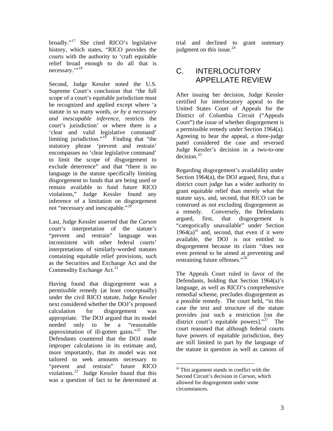broadly."[17](#page-20-2) She cited RICO's legislative history, which states, "RICO provides the courts with the authority to 'craft equitable relief broad enough to do all that is necessary."<sup>[18](#page-20-2)</sup>

Second, Judge Kessler noted the U.S. Supreme Court's conclusion that "the full scope of a court's equitable jurisdiction must be recognized and applied except where 'a statute in so many words, *or by a necessary and inescapable inference,* restricts the court's jurisdiction' or where there is a 'clear and valid legislative command' limiting jurisdiction."<sup>[19](#page-20-2)</sup> Finding that "the statutory phrase 'prevent and restrain' encompasses no 'clear legislative command' to limit the scope of disgorgement to exclude deterrence" and that "there is no language in the statute specifically limiting disgorgement to funds that are being used or remain available to fund future RICO violations," Judge Kessler found any inference of a limitation on disgorgement not "necessary and inescapable."<sup>[20](#page-20-2)</sup>

Last, Judge Kessler asserted that the *Carson* court's interpretation of the statute's "prevent and restrain" language was inconsistent with other federal courts' interpretations of similarly-worded statutes containing equitable relief provisions, such as the Securities and Exchange Act and the Commodity Exchange Act. $21$ 

<span id="page-4-0"></span>Having found that disgorgement was a permissible remedy (at least conceptually) under the civil RICO statute, Judge Kessler next considered whether the DOJ's proposed calculation for disgorgement was appropriate. The DOJ argued that its model needed only to be a "reasonable approximation of ill-gotten gains."<sup>[22](#page-20-2)</sup> The Defendants countered that the DOJ made improper calculations in its estimate and, more importantly, that its model was not tailored to seek amounts necessary to "prevent and restrain" future RICO violations.<sup>[23](#page-20-2)</sup> Judge Kessler found that this was a question of fact to be determined at

trial and declined to grant summary judgment on this issue. $^{24}$  $^{24}$  $^{24}$ 

# C. INTERLOCUTORY APPELLATE REVIEW

After issuing her decision, Judge Kessler certified for interlocutory appeal to the United States Court of Appeals for the District of Columbia Circuit ("Appeals Court") the issue of whether disgorgement is a permissible remedy under Section 1964(a). Agreeing to hear the appeal, a three-judge panel considered the case and reversed Judge Kessler's decision in a two-to-one  $decision.<sup>25</sup>$  $decision.<sup>25</sup>$  $decision.<sup>25</sup>$ 

Regarding disgorgement's availability under Section 1964(a), the DOJ argued, first, that a district court judge has a wider authority to grant equitable relief than merely what the statute says, and, second, that RICO can be construed as not excluding disgorgement as a remedy. Conversely, the Defendants argued, first, that disgorgement is "categorically unavailable" under Section  $1964(a)$ <sup>[iii](#page-4-0)</sup> and, second, that even if it were available, the DOJ is not entitled to disgorgement because its claim "does not even pretend to be aimed at preventing and restraining future offenses."<sup>[26](#page-20-2)</sup>

The Appeals Court ruled in favor of the Defendants, holding that Section 1964(a)'s language, as well as RICO's comprehensive remedial scheme, precludes disgorgement as a possible remedy. The court held, "in this case the text and structure of the statute provides just such a restriction [on the district court's equitable powers]. $n^{27}$  $n^{27}$  $n^{27}$  The court reasoned that although federal courts have powers of equitable jurisdiction, they are still limited in part by the language of the statute in question as well as canons of

 $\overline{a}$ 

iii This argument stands in conflict with the Second Circuit's decision in *Carson*, which allowed for disgorgement under some circumstances.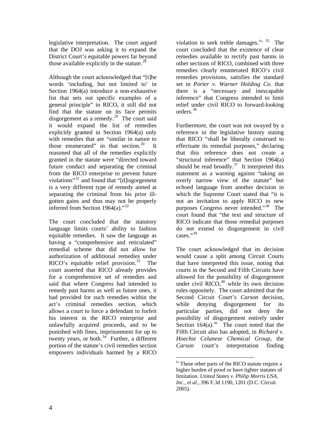legislative interpretation. The court argued that the DOJ was asking it to expand the District Court's equitable powers far beyond those available explicitly in the statute.<sup>[28](#page-20-2)</sup>

Although the court acknowledged that "[t]he words 'including, but not limited to' in Section 1964(a) introduce a non-exhaustive list that sets out specific examples of a general principle" in RICO, it still did not find that the statute on its face permits disgorgement as a remedy. $^{29}$  $^{29}$  $^{29}$  The court said it would expand the list of remedies explicitly granted in Section 1964(a) only with remedies that are "similar in nature to those enumerated" in that section. $30$  It reasoned that all of the remedies explicitly granted in the statute were "directed toward future conduct and separating the criminal from the RICO enterprise to prevent future violations"[31](#page-20-2) and found that "[d]isgorgement is a very different type of remedy aimed at separating the criminal from his prior illgotten gains and thus may not be properly inferred from Section 1964(a)."<sup>[32](#page-20-2)</sup>

<span id="page-5-0"></span>The court concluded that the statutory language limits courts' ability to fashion equitable remedies. It saw the language as having a "comprehensive and reticulated" remedial scheme that did not allow for authorization of additional remedies under RICO's equitable relief provision. $33$  The court asserted that RICO already provides for a comprehensive set of remedies and said that where Congress had intended to remedy past harms as well as future ones, it had provided for such remedies within the act's criminal remedies section, which allows a court to force a defendant to forfeit his interest in the RICO enterprise and unlawfully acquired proceeds, and to be punished with fines, imprisonment for up to twenty years, or both. $34$  Further, a different portion of the statute's civil remedies section empowers individuals harmed by a RICO

violation to seek treble damages.<sup>[iv](#page-5-0), [35](#page-20-2)</sup> The court concluded that the existence of clear remedies available to rectify past harms in other sections of RICO, combined with three remedies clearly enumerated RICO's civil remedies provisions, satisfies the standard set in *Porter v. Warner Holding Co.* that there is a "necessary and inescapable inference" that Congress intended to limit relief under civil RICO to forward-looking orders.[36](#page-20-2)

Furthermore, the court was not swayed by a reference in the legislative history stating that RICO "shall be liberally construed to effectuate its remedial purposes," declaring that this reference does not create a "structural inference" that Section 1964(a) should be read broadly.<sup>[37](#page-20-2)</sup> It interpreted this statement as a warning against "taking an overly narrow view of the statute" but echoed language from another decision in which the Supreme Court stated that "it is not an invitation to apply RICO to new purposes Congress never intended."<sup>[38](#page-20-2)</sup> The court found that "the text and structure of RICO indicate that those remedial purposes do not extend to disgorgement in civil  $\text{cases}$ .  $\mathbf{^{39}}$  $\mathbf{^{39}}$  $\mathbf{^{39}}$ 

The court acknowledged that its decision would cause a split among Circuit Courts that have interpreted this issue, noting that courts in the Second and Fifth Circuits have allowed for the possibility of disgorgement under civil RICO, $40$  while its own decision rules oppositely. The court admitted that the Second Circuit Court's *Carson* decision, while denying disgorgement for its particular parties, did not deny the possibility of disgorgement entirely under Section  $164(a)$ .<sup>[41](#page-20-2)</sup> The court noted that the Fifth Circuit also has adopted, in *Richard v. Hoechst Celanese Chemical Group*, the *Carson* court's interpretation finding

 $\overline{a}$ 

<sup>&</sup>lt;sup>iv</sup> These other parts of the RICO statute require a higher burden of proof or have tighter statutes of limitation. *United States v. Philip Morris USA, Inc., et al.*, 396 F.3d 1190, 1201 (D.C. Circuit 2005).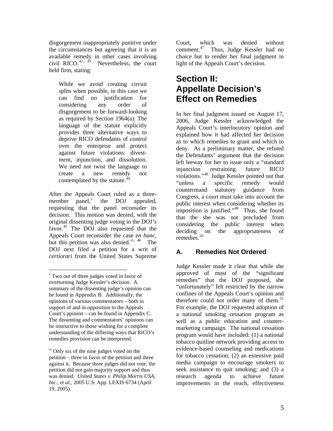disgorgement inappropriately punitive under the circumstances but agreeing that it is an available remedy in other cases involving<br>civil  $\text{RICO.}^{42, 43}$  Nevertheless, the court Nevertheless, the court held firm, stating:

While we avoid creating circuit splits when possible, in this case we can find no justification for considering any order of disgorgement to be forward-looking as required by [Section 1964\(a\).](http://www.lexis.com/research/buttonTFLink?_m=164d01e95f8c99871c0b3de186d04e4c&_xfercite=%3ccite%20cc%3d%22USA%22%3e%3c%21%5bCDATA%5b364%20U.S.%20App.%20D.C.%20454%5d%5d%3e%3c%2fcite%3e&_butType=4&_butStat=0&_butNum=154&_butInline=1&_butinfo=18%20U.S.C.%201964&_fmtstr=FULL&docnum=1&_startdoc=1&wchp=dGLbVzb-zSkAt&_md5=c9165d01e56df25be9c828fbfe1791e7) The language of the statute explicitly provides three alternative ways to deprive RICO defendants of control over the enterprise and protect against future violations: divestment, injunction, and dissolution. We need not twist the language to create a new remedy not contemplated by the statute.<sup>44</sup>

After the Appeals Court ruled as a threemember panel, $v$  the DOJ appealed, requesting that the panel reconsider its decision. This motion was denied, with the original dissenting judge voting in the DOJ's favor.<sup>[45](#page-20-2)</sup> The DOJ also requested that the Appeals Court reconsider the case *en banc*, but this petition was also denied.<sup>[vi](#page-6-1), [46](#page-20-2)</sup> The DOJ next filed a petition for a writ of *certiorari* from the United States Supreme

 $\overline{a}$ 

Court, which was denied without comment.[47](#page-20-2) Thus, Judge Kessler had no choice but to render her final judgment in light of the Appeals Court's decision.

# **Section II: Appellate Decision's Effect on Remedies**

In her final judgment issued on August 17, 2006, Judge Kessler acknowledged the Appeals Court's interlocutory opinion and explained how it had affected her decision as to which remedies to grant and which to deny. As a preliminary matter, she refuted the Defendants' argument that the decision left leeway for her to issue only a "standard injunction restraining future RICO violations."[48](#page-20-2) Judge Kessler pointed out that "unless a specific remedy would countermand statutory guidance from Congress, a court must take into account the public interest when considering whether its imposition is justified." $49$  Thus, she found that the she was not precluded from considering the public interest when deciding on the appropriateness of remedies.<sup>[50](#page-20-2)</sup>

# **A. Remedies Not Ordered**

Judge Kessler made it clear that while she approved of most of the "significant remedies" that the DOJ proposed, she "unfortunately" felt restricted by the narrow confines of the Appeals Court's opinion and therefore could not order many of them.<sup>51</sup> For example, the DOJ requested adoption of a national smoking cessation program as well as a public education and countermarketing campaign. The national cessation program would have included: (1) a national tobacco quitline network providing access to evidence-based counseling and medications for tobacco cessation; (2) an extensive paid media campaign to encourage smokers to seek assistance to quit smoking; and (3) a research agenda to achieve future improvements in the reach, effectiveness

<span id="page-6-0"></span>v Two out of three judges voted in favor of overturning Judge Kessler's decision. A summary of the dissenting judge's opinion can be found in Appendix B. Additionally, the opinions of various commentators – both in support of and in opposition to the Appeals Court's ppinion – can be found in Appendix C. The dissenting and commentators' opinions can be instructive to those wishing for a complete understanding of the differing ways that RICO's remedies provision can be interpreted.

<span id="page-6-1"></span> $\overline{v}$ <sup>vi</sup> Only six of the nine judges voted on the petition – three in favor of the petition and three against it. Because three judges did not vote, the petition did not gain majority support and thus was denied. *United States v. Philip Morris USA, Inc., et al.*, 2005 U.S. App. LEXIS 6734 (April 19, 2005).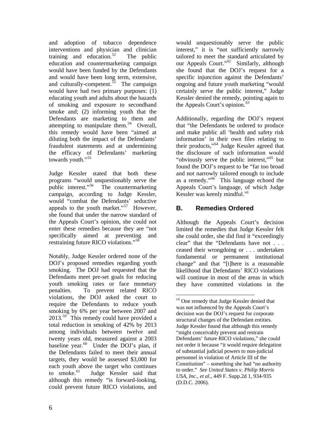and adoption of tobacco dependence interventions and physician and clinician training and education.<sup>[52](#page-20-2)</sup> The public education and countermarketing campaign would have been funded by the Defendants and would have been long term, extensive, and  $\frac{1}{2}$  culturally-competent.<sup>[53](#page-20-2)</sup> The campaign would have had two primary purposes: (1) educating youth and adults about the hazards of smoking and exposure to secondhand smoke and; (2) informing youth that the Defendants are marketing to them and attempting to manipulate them.<sup>[54](#page-20-2)</sup> Overall, this remedy would have been "aimed at diluting both the impact of the Defendants' fraudulent statements and at undermining the efficacy of Defendants' marketing towards youth."<sup>[55](#page-21-0)</sup>

Judge Kessler stated that both these programs "would unquestionably serve the public interest."[56](#page-21-0) The countermarketing campaign, according to Judge Kessler, would "combat the Defendants' seductive appeals to the youth market."<sup>[57](#page-21-0)</sup> However, she found that under the narrow standard of the Appeals Court's opinion, she could not enter these remedies because they are "not specifically aimed at preventing and restraining future RICO violations."[58](#page-21-0)

<span id="page-7-0"></span>Notably, Judge Kessler ordered none of the DOJ's proposed remedies regarding youth smoking. The DOJ had requested that the Defendants meet pre-set goals for reducing youth smoking rates or face monetary penalties. To prevent related RICO violations, the DOJ asked the court to require the Defendants to reduce youth smoking by 6% per year between 2007 and  $2013^{59}$  $2013^{59}$  $2013^{59}$  This remedy could have provided a total reduction in smoking of 42% by 2013 among individuals between twelve and twenty years old, measured against a 2003 baseline year. $60$  Under the DOJ's plan, if the Defendants failed to meet their annual targets, they would be assessed \$3,000 for each youth above the target who continues to smoke.<sup>[61](#page-21-0)</sup> Judge Kessler said that although this remedy "is forward-looking, could prevent future RICO violations, and

would unquestionably serve the public interest," it is "not sufficiently narrowly tailored to meet the standard articulated by our Appeals Court."<sup>[62](#page-21-0)</sup> Similarly, although she found that the DOJ's request for a specific injunction against the Defendants' ongoing and future youth marketing "would certainly serve the public interest," Judge Kessler denied the remedy, pointing again to the Appeals Court's opinion.  $63$ 

Additionally, regarding the DOJ's request that "the Defendants be ordered to produce and make public all 'health and safety risk information' in their own files relating to their products,"[64](#page-21-0) Judge Kessler agreed that the disclosure of such information would "obviously serve the public interest,"[65](#page-21-0) but found the DOJ's request to be "far too broad and not narrowly tailored enough to include as a remedy."[66](#page-21-0) This language echoed the Appeals Court's language, of which Judge Kessler was keenly mindful.<sup>[vii](#page-7-0)</sup>

# **B. Remedies Ordered**

 $\overline{a}$ 

Although the Appeals Court's decision limited the remedies that Judge Kessler felt she could order, she did find it "exceedingly clear" that the "Defendants have not . . . ceased their wrongdoing or . . . undertaken fundamental or permanent institutional change" and that "[t]here is a reasonable likelihood that Defendants' RICO violations will continue in most of the areas in which they have committed violations in the

vii One remedy that Judge Kessler denied that was not influenced by the Appeals Court's decision was the DOJ's request for corporate structural changes of the Defendant entities. Judge Kessler found that although this remedy "might conceivably prevent and restrain Defendants' future RICO violations," she could not order it because "it would require delegation of substantial judicial powers to non-judicial personnel in violation of Article III of the Constitution" – something she had "no authority to order." *See United States v. Philip Morris USA, Inc., et al.*, 449 F. Supp.2d 1, 934-935 (D.D.C. 2006).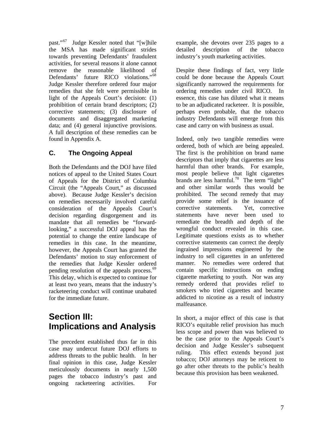past."[67](#page-21-0) Judge Kessler noted that "[w]hile the MSA has made significant strides towards preventing Defendants' fraudulent activities, for several reasons it alone cannot remove the reasonable likelihood of Defendants' future RICO violations."<sup>[68](#page-21-0)</sup> Judge Kessler therefore ordered four major remedies that she felt were permissible in light of the Appeals Court's decision: (1) prohibition of certain brand descriptors; (2) corrective statements; (3) disclosure of documents and disaggregated marketing data; and (4) general injunctive provisions. A full description of these remedies can be found in Appendix A.

## **C. The Ongoing Appeal**

Both the Defendants and the DOJ have filed notices of appeal to the United States Court of Appeals for the District of Columbia Circuit (the "Appeals Court," as discussed above). Because Judge Kessler's decision on remedies necessarily involved careful consideration of the Appeals Court's decision regarding disgorgement and its mandate that all remedies be "forwardlooking," a successful DOJ appeal has the potential to change the entire landscape of remedies in this case. In the meantime, however, the Appeals Court has granted the Defendants' motion to stay enforcement of the remedies that Judge Kessler ordered pending resolution of the appeals process.<sup>[69](#page-21-0)</sup> This delay, which is expected to continue for at least two years, means that the industry's racketeering conduct will continue unabated for the immediate future.

# **Section III: Implications and Analysis**

The precedent established thus far in this case may undercut future DOJ efforts to address threats to the public health. In her final opinion in this case, Judge Kessler meticulously documents in nearly 1,500 pages the tobacco industry's past and ongoing racketeering activities. For

example, she devotes over 235 pages to a detailed description of the tobacco industry's youth marketing activities.

Despite these findings of fact, very little could be done because the Appeals Court significantly narrowed the requirements for ordering remedies under civil RICO. In essence, this case has diluted what it means to be an adjudicated racketeer. It is possible, perhaps even probable, that the tobacco industry Defendants will emerge from this case and carry on with business as usual.

Indeed, only two tangible remedies were ordered, both of which are being appealed. The first is the prohibition on brand name descriptors that imply that cigarettes are less harmful than other brands. For example, most people believe that light cigarettes brands are less harmful.<sup>[70](#page-21-0)</sup> The term "light" and other similar words thus would be prohibited. The second remedy that may provide some relief is the issuance of corrective statements. Yet, corrective statements have never been used to remediate the breadth and depth of the wrongful conduct revealed in this case. Legitimate questions exists as to whether corrective statements can correct the deeply ingrained impressions engineered by the industry to sell cigarettes in an unfettered manner. No remedies were ordered that contain specific instructions on ending cigarette marketing to youth. Nor was any remedy ordered that provides relief to smokers who tried cigarettes and became addicted to nicotine as a result of industry malfeasance.

In short, a major effect of this case is that RICO's equitable relief provision has much less scope and power than was believed to be the case prior to the Appeals Court's decision and Judge Kessler's subsequent ruling. This effect extends beyond just tobacco; DOJ attorneys may be reticent to go after other threats to the public's health because this provision has been weakened.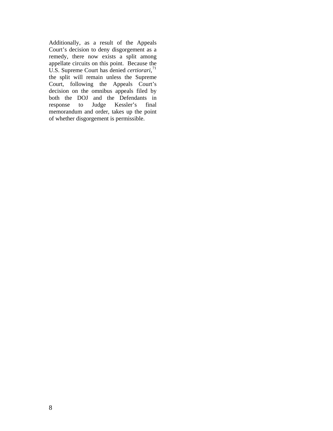Additionally, as a result of the Appeals Court's decision to deny disgorgement as a remedy, there now exists a split among appellate circuits on this point. Because the U.S. Supreme Court has denied *certiorari*, [71](#page-21-0) the split will remain unless the Supreme Court, following the Appeals Court's decision on the omnibus appeals filed by both the DOJ and the Defendants in response to Judge Kessler's final memorandum and order, takes up the point of whether disgorgement is permissible.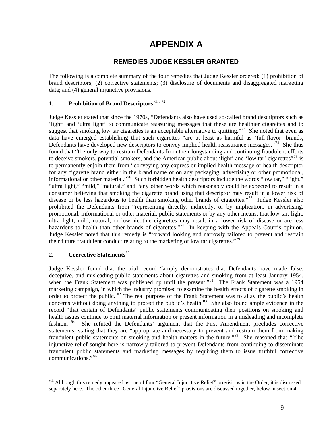# **APPENDIX A**

## **REMEDIES JUDGE KESSLER GRANTED**

The following is a complete summary of the four remedies that Judge Kessler ordered: (1) prohibition of brand descriptors; (2) corrective statements; (3) disclosure of documents and disaggregated marketing data; and (4) general injunctive provisions.

### **1. Prohibition of Brand Descriptors**[viii](#page-10-0), [72](#page-21-0)

Judge Kessler stated that since the 1970s, "Defendants also have used so-called brand descriptors such as 'light' and 'ultra light' to communicate reassuring messages that these are healthier cigarettes and to suggest that smoking low tar cigarettes is an acceptable alternative to quitting."<sup>[73](#page-21-0)</sup> She noted that even as data have emerged establishing that such cigarettes "are at least as harmful as 'full-flavor' brands, Defendants have developed new descriptors to convey implied health reassurance messages. $1/14$  She thus found that "the only way to restrain Defendants from their longstanding and continuing fraudulent efforts to deceive smokers, potential smokers, and the American public about 'light' and 'low tar' cigarettes"<sup>[75](#page-21-0)</sup> is to permanently enjoin them from "conveying any express or implied health message or health descriptor for any cigarette brand either in the brand name or on any packaging, advertising or other promotional, informational or other material."<sup>[76](#page-21-0)</sup> Such forbidden health descriptors include the words "low tar," "light," "ultra light," "mild," "natural," and "any other words which reasonably could be expected to result in a consumer believing that smoking the cigarette brand using that descriptor may result in a lower risk of disease or be less hazardous to health than smoking other brands of cigarettes."<sup>[77](#page-21-0)</sup> Judge Kessler also prohibited the Defendants from "representing directly, indirectly, or by implication, in advertising, promotional, informational or other material, public statements or by any other means, that low-tar, light, ultra light, mild, natural, or low-nicotine cigarettes may result in a lower risk of disease or are less hazardous to health than other brands of cigarettes."<sup>[78](#page-21-0)</sup> In keeping with the Appeals Court's opinion, Judge Kessler noted that this remedy is "forward looking and narrowly tailored to prevent and restrain their future fraudulent conduct relating to the marketing of low tar cigarettes."<sup>[79](#page-21-0)</sup>

### **2.** Corrective Statements<sup>[80](#page-21-0)</sup>

 $\overline{a}$ 

Judge Kessler found that the trial record "amply demonstrates that Defendants have made false, deceptive, and misleading public statements about cigarettes and smoking from at least January 1954, when the Frank Statement was published up until the present."<sup>[81](#page-21-0)</sup> The Frank Statement was a 1954 marketing campaign, in which the industry promised to examine the health effects of cigarette smoking in order to protect the public. <sup>[82](#page-21-0)</sup> The real purpose of the Frank Statement was to allay the public's health concerns without doing anything to protect the public's health. $83$  She also found ample evidence in the record "that certain of Defendants' public statements communicating their positions on smoking and health issues continue to omit material information or present information in a misleading and incomplete fashion."<sup>84</sup> She refuted the Defendants' argument that the First Amendment precludes corrective She refuted the Defendants' argument that the First Amendment precludes corrective statements, stating that they are "appropriate and necessary to prevent and restrain them from making fraudulent public statements on smoking and health matters in the future."<sup>[85](#page-21-0)</sup> She reasoned that "[t]he injunctive relief sought here is narrowly tailored to prevent Defendants from continuing to disseminate fraudulent public statements and marketing messages by requiring them to issue truthful corrective communications."[86](#page-21-0)

<span id="page-10-0"></span>viii Although this remedy appeared as one of four "General Injunctive Relief" provisions in the Order, it is discussed separately here. The other three "General Injunctive Relief" provisions are discussed together, below in section 4.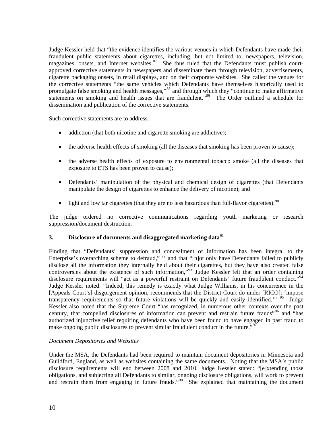Judge Kessler held that "the evidence identifies the various venues in which Defendants have made their fraudulent public statements about cigarettes, including, but not limited to, newspapers, television, magazines, onsets, and Internet websites.<sup>[87](#page-21-0)</sup> She thus ruled that the Defendants must publish courtapproved corrective statements in newspapers and disseminate them through television, advertisements, cigarette packaging onsets, in retail displays, and on their corporate websites. She called the venues for the corrective statements "the same vehicles which Defendants have themselves historically used to promulgate false smoking and health messages,"<sup>[88](#page-21-0)</sup> and through which they "continue to make affirmative statements on smoking and health issues that are fraudulent."<sup>[89](#page-21-0)</sup> The Order outlined a schedule for dissemination and publication of the corrective statements.

Such corrective statements are to address:

- addiction (that both nicotine and cigarette smoking are addictive);
- the adverse health effects of smoking (all the diseases that smoking has been proven to cause);
- the adverse health effects of exposure to environmental tobacco smoke (all the diseases that exposure to ETS has been proven to cause);
- Defendants' manipulation of the physical and chemical design of cigarettes (that Defendants manipulate the design of cigarettes to enhance the delivery of nicotine); and
- light and low tar cigarettes (that they are no less hazardous than full-flavor cigarettes).<sup>[90](#page-21-0)</sup>

The judge ordered no corrective communications regarding youth marketing or research suppression/document destruction.

#### **3.** Disclosure of documents and disaggregated marketing data<sup>[91](#page-21-0)</sup>

Finding that "Defendants' suppression and concealment of information has been integral to the Enterprise's overarching scheme to defraud," <sup>[92](#page-21-0)</sup> and that "[n]ot only have Defendants failed to publicly disclose all the information they internally held about their cigarettes, but they have also created false controversies about the existence of such information,"<sup>[93](#page-21-0)</sup> Judge Kessler felt that an order containing disclosure requirements will "act as a powerful restraint on Defendants' future fraudulent conduct."<sup>94</sup> Judge Kessler noted: "Indeed, this remedy is exactly what Judge Williams, in his concurrence in the [Appeals Court's] disgorgement opinion, recommends that the District Court do under [RICO]: 'impose transparency requirements so that future violations will be quickly and easily identified." <sup>[95](#page-21-0)</sup> Judge Kessler also noted that the Supreme Court "has recognized, in numerous other contexts over the past century, that compelled disclosures of information can prevent and restrain future frauds"<sup>[96](#page-21-0)</sup> and "has authorized injunctive relief requiring defendants who have been found to have engaged in past fraud to make ongoing public disclosures to prevent similar fraudulent conduct in the future."<sup>[97](#page-21-0)</sup>

#### *Document Depositories and Websites*

Under the MSA, the Defendants had been required to maintain document depositories in Minnesota and Guildford, England, as well as websites containing the same documents. Noting that the MSA's public disclosure requirements will end between 2008 and 2010, Judge Kessler stated: "[e]xtending those obligations, and subjecting all Defendants to similar, ongoing disclosure obligations, will work to prevent and restrain them from engaging in future frauds."<sup>[98](#page-21-0)</sup> She explained that maintaining the document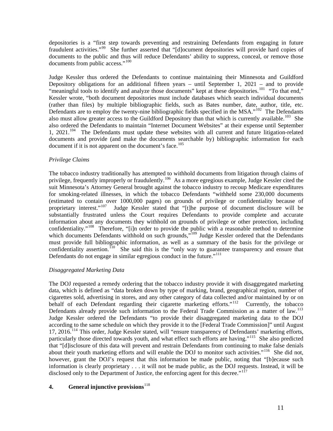depositories is a "first step towards preventing and restraining Defendants from engaging in future fraudulent activities."[99](#page-21-0) She further asserted that "[d]ocument depositories will provide hard copies of documents to the public and thus will reduce Defendants' ability to suppress, conceal, or remove those documents from public access."<sup>[100](#page-21-0)</sup>

Judge Kessler thus ordered the Defendants to continue maintaining their Minnesota and Guildford Depository obligations for an additional fifteen years – until September 1, 2021 – and to provide "meaningful tools to identify and analyze those documents" kept at these depositories.<sup>[101](#page-21-0)</sup> "To that end," Kessler wrote, "both document depositories must include databases which search individual documents (rather than files) by multiple bibliographic fields, such as Bates number, date, author, title, etc. Defendants are to employ the twenty-nine bibliographic fields specified in the MSA."<sup>[102](#page-21-0)</sup> The Defendants also must allow greater access to the Guildford Depository than that which is currently available.<sup>[103](#page-21-0)</sup> She also ordered the Defendants to maintain "Internet Document Websites" at their expense until September 1, 2021. $104$  The Defendants must update these websites with all current and future litigation-related documents and provide (and make the documents searchable by) bibliographic information for each document if it is not apparent on the document's face.<sup>[105](#page-21-0)</sup>

#### *Privilege Claims*

The tobacco industry traditionally has attempted to withhold documents from litigation through claims of privilege, frequently improperly or fraudulently.<sup>[106](#page-21-0)</sup> As a more egregious example, Judge Kessler cited the suit Minnesota's Attorney General brought against the tobacco industry to recoup Medicare expenditures for smoking-related illnesses, in which the tobacco Defendants "withheld some 230,000 documents (estimated to contain over 1000,000 pages) on grounds of privilege or confidentiality because of proprietary interest."<sup>[107](#page-21-0)</sup> Judge Kessler stated that "[t]he purpose of document disclosure will be substantially frustrated unless the Court requires Defendants to provide complete and accurate information about any documents they withhold on grounds of privilege or other protection, including confidentiality."<sup>[108](#page-22-0)</sup> Therefore, "[i]n order to provide the public with a reasonable method to determine which documents Defendants withhold on such grounds,"<sup>[109](#page-22-0)</sup> Judge Kessler ordered that the Defendants must provide full bibliographic information, as well as a summary of the basis for the privilege or confidentiality assertion.<sup>[110](#page-22-0)</sup> She said this is the "only way to guarantee transparency and ensure that Defendants do not engage in similar egregious conduct in the future."<sup>[111](#page-22-0)</sup>

#### *Disaggregated Marketing Data*

The DOJ requested a remedy ordering that the tobacco industry provide it with disaggregated marketing data, which is defined as "data broken down by type of marking, brand, geographical region, number of cigarettes sold, advertising in stores, and any other category of data collected and/or maintained by or on behalf of each Defendant regarding their cigarette marketing efforts."<sup>[112](#page-22-0)</sup> Currently, the tobacco Defendants already provide such information to the Federal Trade Commission as a matter of law.<sup>113</sup> Judge Kessler ordered the Defendants "to provide their disaggregated marketing data to the DOJ according to the same schedule on which they provide it to the [Federal Trade Commission]" until August 17, 2016.<sup>[114](#page-22-0)</sup> This order, Judge Kessler stated, will "ensure transparency of Defendants' marketing efforts, particularly those directed towards youth, and what effect such efforts are having."<sup>[115](#page-22-0)</sup> She also predicted that "[d]isclosure of this data will prevent and restrain Defendants from continuing to make false denials about their youth marketing efforts and will enable the DOJ to monitor such activities."<sup>[116](#page-22-0)</sup> She did not, however, grant the DOJ's request that this information be made public, noting that "[b]ecause such information is clearly proprietary . . . it will not be made public, as the DOJ requests. Instead, it will be disclosed only to the Department of Justice, the enforcing agent for this decree."<sup>[117](#page-22-0)</sup>

### **4.** General injunctive provisions<sup>[118](#page-22-0)</sup>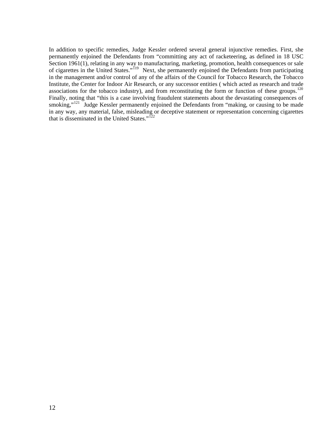In addition to specific remedies, Judge Kessler ordered several general injunctive remedies. First, she permanently enjoined the Defendants from "committing any act of racketeering, as defined in 18 USC Section 1961(1), relating in any way to manufacturing, marketing, promotion, health consequences or sale of cigarettes in the United States."[119](#page-22-0) Next, she permanently enjoined the Defendants from participating in the management and/or control of any of the affairs of the Council for Tobacco Research, the Tobacco Institute, the Center for Indoor Air Research, or any successor entities ( which acted as research and trade associations for the tobacco industry), and from reconstituting the form or function of these groups.<sup>120</sup> Finally, noting that "this is a case involving fraudulent statements about the devastating consequences of smoking,"<sup>[121](#page-22-0)</sup> Judge Kessler permanently enjoined the Defendants from "making, or causing to be made in any way, any material, false, misleading or deceptive statement or representation concerning cigarettes that is disseminated in the United States." $122$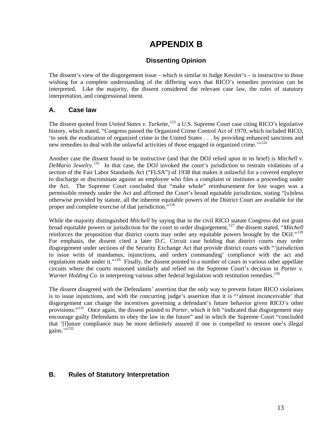# **APPENDIX B**

## **Dissenting Opinion**

The dissent's view of the disgorgement issue – which is similar to Judge Kessler's – is instructive to those wishing for a complete understanding of the differing ways that RICO's remedies provision can be interpreted. Like the majority, the dissent considered the relevant case law, the rules of statutory interpretation, and congressional intent.

## **A. Case law**

The dissent quoted from *[United States v. Turkette](http://web2.westlaw.com/find/default.wl?rs=WLW7.07&serialnum=1981126815&fn=_top&sv=Split&tc=-1&findtype=Y&tf=-1&db=708&vr=2.0&rp=%2ffind%2fdefault.wl&mt=LawSchoolPractitioner)*,<sup>[123](#page-22-0)</sup> a U.S. Supreme Court case citing RICO's legislative history, which stated, "Congress passed the Organized Crime Control Act of 1970, which included RICO, 'to seek the eradication of organized crime in the United States . . . by providing enhanced sanctions and new remedies to deal with the unlawful activities of those engaged in organized crime. $1^{124}$  $1^{124}$  $1^{124}$ 

Another case the dissent found to be instructive (and that the DOJ relied upon in its brief) is *[Mitchell v.](http://web2.westlaw.com/find/default.wl?rs=WLW7.07&serialnum=1960122466&fn=_top&sv=Split&tc=-1&findtype=Y&tf=-1&db=708&vr=2.0&rp=%2ffind%2fdefault.wl&mt=LawSchoolPractitioner)  [DeMario Jewelry](http://web2.westlaw.com/find/default.wl?rs=WLW7.07&serialnum=1960122466&fn=_top&sv=Split&tc=-1&findtype=Y&tf=-1&db=708&vr=2.0&rp=%2ffind%2fdefault.wl&mt=LawSchoolPractitioner)*. [125](#page-22-0) In that case, the DOJ invoked the court's jurisdiction to restrain violations of a section of the Fair Labor Standards Act ("FLSA") of 1938 that makes it unlawful for a covered employer to discharge or discriminate against an employee who files a complaint or institutes a proceeding under the Act. The Supreme Court concluded that "make whole" reimbursement for lost wages was a permissible remedy under the Act and affirmed the Court's broad equitable jurisdiction, stating "[u]nless otherwise provided by statute, all the inherent equitable powers of the District Court are available for the proper and complete exercise of that jurisdiction.<sup>"[126](#page-22-0)</sup>

While the majority distinguished *Mitchell* by saying that in the civil RICO statute Congress did not grant broad equitable powers or jurisdiction for the court to order disgorgement,[127](#page-22-0) the dissent stated, "*Mitchell* reinforces the proposition that district courts may order any equitable powers brought by the DOJ."<sup>128</sup> For emphasis, the dissent cited a later D.C. Circuit case holding that district courts may order disgorgement under sections of the Security Exchange Act that provide district courts with "'jurisdiction to issue writs of mandamus, injunctions, and orders commanding' compliance with the act and regulations made under it."<sup>[129](#page-22-0)</sup> Finally, the dissent pointed to a number of cases in various other appellate circuits where the courts reasoned similarly and relied on the Supreme Court's decision in *Porter v. Warner Holding Co.* in interpreting various other federal legislation with restitution remedies.<sup>130</sup>

The dissent disagreed with the Defendants' assertion that the only way to prevent future RICO violations is to issue injunctions, and with the concurring judge's assertion that it is "'almost inconceivable' that disgorgement can change the incentives governing a defendant's future behavior given RICO's other provisions."[131](#page-22-0) Once again, the dissent pointed to *Porter*, which it felt "indicated that disgorgement may encourage guilty Defendants to obey the law in the future" and in which the Supreme Court "concluded that '[f]uture compliance may be more definitely assured if one is compelled to restore one's illegal gains. $\overline{\cdots}$ <sup>[132](#page-22-0)</sup>

## **B. Rules of Statutory Interpretation**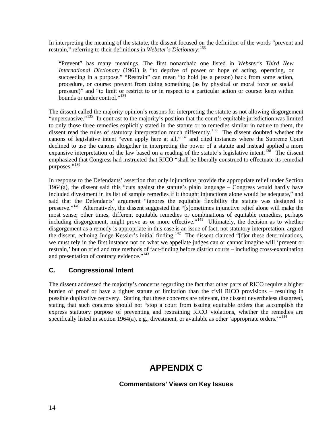In interpreting the meaning of the statute, the dissent focused on the definition of the words "prevent and restrain," referring to their definitions in *Webster's Dictionary*:<sup>[133](#page-22-0)</sup>

"Prevent" has many meanings. The first nonarchaic one listed in *Webster's Third New International Dictionary* (1961) is "to deprive of power or hope of acting, operating, or succeeding in a purpose." "Restrain" can mean "to hold (as a person) back from some action, procedure, or course: prevent from doing something (as by physical or moral force or social pressure)" and "to limit or restrict to or in respect to a particular action or course: keep within bounds or under control."<sup>[134](#page-22-0)</sup>

The dissent called the majority opinion's reasons for interpreting the statute as not allowing disgorgement "unpersuasive."<sup>[135](#page-22-0)</sup> In contrast to the majority's position that the court's equitable jurisdiction was limited to only those three remedies explicitly stated in the statute or to remedies similar in nature to them, the dissent read the rules of statutory interpretation much differently.<sup>[136](#page-22-0)</sup> The dissent doubted whether the canons of legislative intent "even apply here at all,"[137](#page-22-0) and cited instances where the Supreme Court declined to use the canons altogether in interpreting the power of a statute and instead applied a more expansive interpretation of the law based on a reading of the statute's legislative intent.<sup>[138](#page-22-0)</sup> The dissent emphasized that Congress had instructed that RICO "shall be liberally construed to effectuate its remedial purposes."<sup>[139](#page-22-0)</sup>

In response to the Defendants' assertion that only injunctions provide the appropriate relief under Section  $1964(a)$ , the dissent said this "cuts against the statute's plain language – Congress would hardly have included divestment in its list of sample remedies if it thought injunctions alone would be adequate," and said that the Defendants' argument "ignores the equitable flexibility the statute was designed to preserve."<sup>[140](#page-22-0)</sup> Alternatively, the dissent suggested that "[s]ometimes injunctive relief alone will make the most sense; other times, different equitable remedies or combinations of equitable remedies, perhaps including disgorgement, might prove as or more effective."<sup>[141](#page-22-0)</sup> Ultimately, the decision as to whether disgorgement as a remedy is appropriate in this case is an issue of fact, not statutory interpretation, argued the dissent, echoing Judge Kessler's initial finding.<sup>[142](#page-22-0)</sup> The dissent claimed " $[$ f $]$ or these determinations, we must rely in the first instance not on what we appellate judges can or cannot imagine will 'prevent or restrain,' but on tried and true methods of fact-finding before district courts – including cross-examination and presentation of contrary evidence."<sup>[143](#page-22-0)</sup>

## **C. Congressional Intent**

The dissent addressed the majority's concerns regarding the fact that other parts of RICO require a higher burden of proof or have a tighter statute of limitation than the civil RICO provisions – resulting in possible duplicative recovery. Stating that these concerns are relevant, the dissent nevertheless disagreed, stating that such concerns should not "stop a court from issuing equitable orders that accomplish the express statutory purpose of preventing and restraining RICO violations, whether the remedies are specifically listed in section 1964(a), e.g., divestment, or available as other 'appropriate orders."<sup>[144](#page-22-0)</sup>

# **APPENDIX C**

## **Commentators' Views on Key Issues**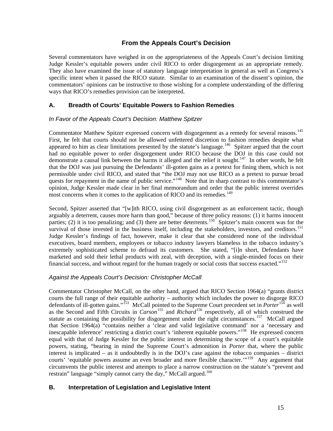## **From the Appeals Court's Decision**

Several commentators have weighed in on the appropriateness of the Appeals Court's decision limiting Judge Kessler's equitable powers under civil RICO to order disgorgement as an appropriate remedy. They also have examined the issue of statutory language interpretation in general as well as Congress's specific intent when it passed the RICO statute. Similar to an examination of the dissent's opinion, the commentators' opinions can be instructive to those wishing for a complete understanding of the differing ways that RICO's remedies provision can be interpreted.

## **A. Breadth of Courts' Equitable Powers to Fashion Remedies**

### *In Favor of the Appeals Court's Decision: Matthew Spitzer*

Commentator Matthew Spitzer expressed concern with disgorgement as a remedy for several reasons.<sup>145</sup> First, he felt that courts should not be allowed unfettered discretion to fashion remedies despite what appeared to him as clear limitations presented by the statute's language.<sup>[146](#page-22-0)</sup> Spitzer argued that the court had no equitable power to order disgorgement under RICO because the DOJ in this case could not demonstrate a causal link between the harms it alleged and the relief it sought.<sup>[147](#page-22-0)</sup> In other words, he felt that the DOJ was just pursuing the Defendants' ill-gotten gains as a pretext for fining them, which is not permissible under civil RICO, and stated that "the DOJ may not use RICO as a pretext to pursue broad quests for repayment in the name of public service."<sup>[148](#page-22-0)</sup> Note that in sharp contrast to this commentator's opinion, Judge Kessler made clear in her final memorandum and order that the public interest overrides most concerns when it comes to the application of RICO and its remedies.<sup>[149](#page-22-0)</sup>

Second, Spitzer asserted that "[w]ith RICO, using civil disgorgement as an enforcement tactic, though arguably a deterrent, causes more harm than good," because of three policy reasons: (1) it harms innocent parties; (2) it is too penalizing; and (3) there are better deterrents.<sup>[150](#page-22-0)</sup> Spitzer's main concern was for the survival of those invested in the business itself, including the stakeholders, investors, and creditors.<sup>[151](#page-22-0)</sup> Judge Kessler's findings of fact, however, make it clear that she considered none of the individual executives, board members, employees or tobacco industry lawyers blameless in the tobacco industry's extremely sophisticated scheme to defraud its customers. She stated, "[i]n short, Defendants have marketed and sold their lethal products with zeal, with deception, with a single-minded focus on their financial success, and without regard for the human tragedy or social costs that success exacted."[152](#page-22-0)

### *Against the Appeals Court's Decision: Christopher McCall*

Commentator Christopher McCall, on the other hand, argued that RICO Section 1964(a) "grants district courts the full range of their equitable authority – authority which includes the power to disgorge RICO defendants of ill-gotten gains."[153](#page-22-0) McCall pointed to the Supreme Court precedent set in *Porter*[154](#page-22-0) as well as the Second and Fifth Circuits in *Carson*[155](#page-22-0) and *Richard*[156](#page-22-0) respectively, all of which construed the statute as containing the possibility for disgorgement under the right circumstances.<sup>[157](#page-22-0)</sup> McCall argued that Section 1964(a) "contains neither a 'clear and valid legislative command' nor a 'necessary and inescapable inference' restricting a district court's 'inherent equitable powers."<sup>[158](#page-22-0)</sup> He expressed concern equal with that of Judge Kessler for the public interest in determining the scope of a court's equitable powers, stating, "bearing in mind the Supreme Court's admonition in *Porter* that, where the public interest is implicated – as it undoubtedly is in the DOJ's case against the tobacco companies – district courts' 'equitable powers assume an even broader and more flexible character.'"<sup>[159](#page-22-0)</sup> Any argument that circumvents the public interest and attempts to place a narrow construction on the statute's "prevent and restrain" language "simply cannot carry the day," McCall argued.<sup>[160](#page-22-0)</sup>

## **B. Interpretation of Legislation and Legislative Intent**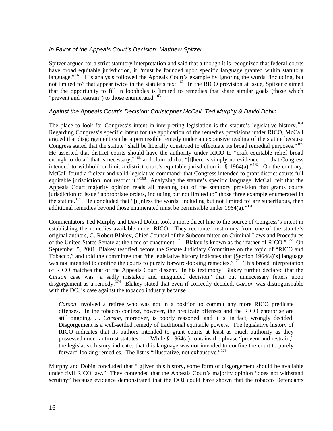### *In Favor of the Appeals Court's Decision: Matthew Spitzer*

Spitzer argued for a strict statutory interpretation and said that although it is recognized that federal courts have broad equitable jurisdiction, it "must be founded upon specific language granted within statutory language."<sup>[161](#page-22-0)</sup> His analysis followed the Appeals Court's example by ignoring the words "including, but not limited to" that appear twice in the statute's text.<sup>[162](#page-22-0)</sup> In the RICO provision at issue, Spitzer claimed that the opportunity to fill in loopholes is limited to remedies that share similar goals (those which "prevent and restrain") to those enumerated. $163$ 

#### *Against the Appeals Court's Decision: Christopher McCall, Ted Murphy & David Dobin*

The place to look for Congress's intent in interpreting legislation is the statute's legislative history.<sup>164</sup> Regarding Congress's specific intent for the application of the remedies provisions under RICO, McCall argued that disgorgement can be a permissible remedy under an expansive reading of the statute because Congress stated that the statute "shall be liberally construed to effectuate its broad remedial purposes."[165](#page-23-0)  He asserted that district courts should have the authority under RICO to "craft equitable relief broad enough to do all that is necessary,"[166](#page-23-0) and claimed that "[t]here is simply no evidence . . . that Congress intended to withhold or limit a district court's equitable jurisdiction in § 1964(a)."[167](#page-23-0) On the contrary, McCall found a "'clear and valid legislative command' that Congress intended to grant district courts full equitable jurisdiction, not restrict it."<sup>[168](#page-23-0)</sup> Analyzing the statute's specific language, McCall felt that the Appeals Court majority opinion reads all meaning out of the statutory provision that grants courts jurisdiction to issue "appropriate orders, including but not limited to" those three example enumerated in the statute.[169](#page-23-0) He concluded that "[u]nless the words 'including but not limited to' are superfluous, then additional remedies beyond those enumerated must be permissible under  $1964(a)$ ."<sup>[170](#page-23-0)</sup>

Commentators Ted Murphy and David Dobin took a more direct line to the source of Congress's intent in establishing the remedies available under RICO. They recounted testimony from one of the statute's original authors, G. Robert Blakey, Chief Counsel of the Subcommittee on Criminal Laws and Procedures of the United States Senate at the time of enactment.<sup>[171](#page-23-0)</sup> Blakey is known as the "father of RICO."<sup>[172](#page-23-0)</sup> On September 5, 2001, Blakey testified before the Senate Judiciary Committee on the topic of "RICO and Tobacco," and told the committee that "the legislative history indicates that [Section 1964(a)'s] language was not intended to confine the courts to purely forward-looking remedies."<sup>[173](#page-23-0)</sup> This broad interpretation of RICO matches that of the Appeals Court dissent. In his testimony, Blakey further declared that the *Carson* case was "a sadly mistaken and misguided decision" that put unnecessary fetters upon disgorgement as a remedy.[174](#page-23-0) Blakey stated that even if correctly decided, *Carson* was distinguishable with the DOJ's case against the tobacco industry because

*Carson* involved a retiree who was not in a position to commit any more RICO predicate offenses. In the tobacco context, however, the predicate offenses and the RICO enterprise are still ongoing. . . *Carson*, moreover, is poorly reasoned; and it is, in fact, wrongly decided. Disgorgement is a well-settled remedy of traditional equitable powers. The legislative history of RICO indicates that its authors intended to grant courts at least as much authority as they possessed under antitrust statutes. . . . While § 1964(a) contains the phrase "prevent and restrain," the legislative history indicates that this language was not intended to confine the court to purely forward-looking remedies. The list is "illustrative, not exhaustive."<sup>[175](#page-23-0)</sup>

Murphy and Dobin concluded that "[g]iven this history, some form of disgorgement should be available under civil RICO law." They contended that the Appeals Court's majority opinion "does not withstand scrutiny" because evidence demonstrated that the DOJ could have shown that the tobacco Defendants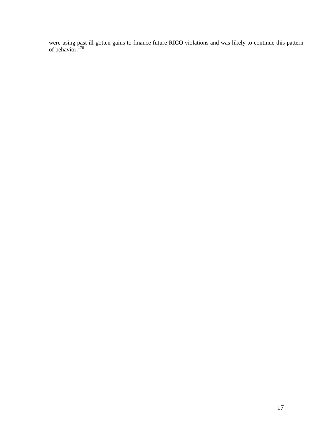were using past ill-gotten gains to finance future RICO violations and was likely to continue this pattern of behavior.<sup>[176](#page-23-0)</sup>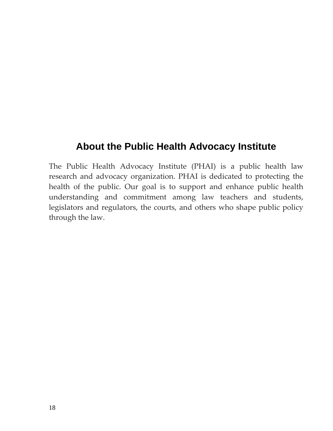# **About the Public Health Advocacy Institute**

The Public Health Advocacy Institute (PHAI) is a public health law research and advocacy organization. PHAI is dedicated to protecting the health of the public. Our goal is to support and enhance public health understanding and commitment among law teachers and students, legislators and regulators, the courts, and others who shape public policy through the law.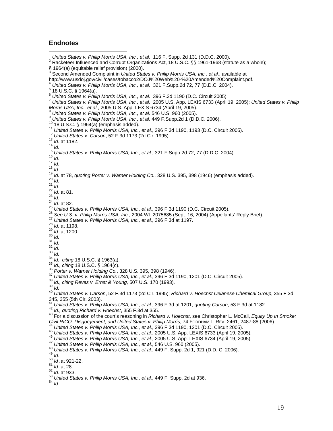#### <span id="page-20-1"></span>**Endnotes**

<span id="page-20-2"></span><span id="page-20-0"></span> $\overline{a}$ <sup>1</sup> United States v. Philip Morris USA, Inc., et al., 116 F. Supp. 2d 131 (D.D.C. 2000). <sup>2</sup> Racketeer Influenced and Corrupt Organizations Act, 18 U.S.C. §§ 1961-1968 (statute as a whole); § 1964(a) (equitable relief provision) (2000).<br><sup>3</sup> Second Amended Compleint in *United Stat* <sup>3</sup> Second Amended Complaint in *United States v. Philip Morris USA, Inc., et al.*, available at<br>http://www.usdoj.gov/civil/cases/tobacco2/DOJ%20Web%20-%20Amended%20Complaint.pdf. United States v. Philip Morris USA, Inc., et al., 321 F.Supp.2d 72, 77 (D.D.C. 2004).  $\frac{5}{18}$  U.S.C. § 1964(a).<br> $\frac{6}{18}$  U.S.C. § 1964(a).<br> $\frac{6}{18}$  United States v. Philip Morris USA, Inc., et al., 396 F.3d 1190 (D.C. Circuit 2005). 7 United States v. Philip Morris USA, Inc., et al., 2005 U.S. App. LEXIS 6733 (April 19, 2005); United States v. Philip<br>Morris USA, Inc., et al., 2005 U.S. App. LEXIS 6734 (April 19, 2005). Morris USA, Inc., et al., 2005 U.S. App. LEXIS 6734 (April 19, 2005).<br>
Noris Ush (also sc. Philip Morris USA, Inc., et al. 546 U.S. 980 (2005).<br>
<sup>9</sup> United States v. Philip Morris USA, Inc., et al. 449 F. Supp. 2d 1 (D.D.C 345, 355 (5th Cir. 2003).<br><sup>41</sup> United States v. Philip Morris USA, Inc., et al., 396 F.3d at 1201, quoting Carson, 53 F.3d at 1182. <sup>42</sup> Id., quoting Richard v. Hoechst, 355 F.3d at 355.<br><sup>43</sup> For a discussion of the court's reasoning in Richard v. Hoechst, see Christopher L. McCall, *Equity Up In Smoke:*<br>Civil RICO, Disgorgement, and United States v. P <sup>44</sup> United States v. Philip Morris USA, Inc., et al., 396 F.3d 1190, 1201 (D.C. Circuit 2005).<br><sup>45</sup> United States v. Philip Morris USA, Inc., et al., 2005 U.S. App. LEXIS 6733 (April 19, 2005).<br><sup>46</sup> United States v. Phil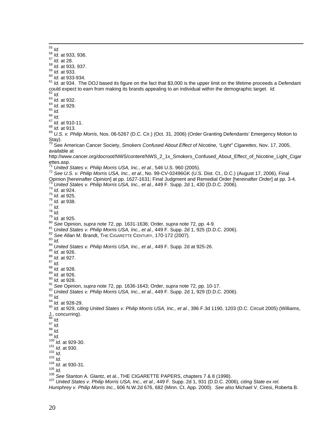<span id="page-21-0"></span><sup>55</sup> *ld.*<br>
<sup>56</sup> *ld.* at 933, 936.<br>
<sup>57</sup> *ld.* at 933, 937.<br>
<sup>58</sup> *ld.* at 933, 937.<br>
<sup>69</sup> *ld.* at 933-934.<br>
<sup>60</sup> *ld.* at 933-934.<br>
<sup>61</sup> *ld.* at 934. The DOJ based its figure on the fact that \$3,000 is the upper limit could expect to earn from making its brands appealing to an individual within the demographic target. *Id.*<br>
62 *Id.*<br>
63 *Id.* at 929.<br>
65 *Id.*<br>
66 *Id.*<br>
67 *Id.* at 910-11.<br>
68 *Id.*<br>
67 *Id.* at 913.<br>
69 *U.S. v. Phi* 

- 
- 

Stay).

70 See American Cancer Society, *Smokers Confused About Effect of Nicotine, "Light" Cigarettes*, Nov. 17, 2005, available at

http://www.cancer.org/docroot/NWS/content/NWS\_2\_1x\_Smokers\_Confused\_About\_Effect\_of\_Nicotine\_Light\_Cigar ettes.asp.<br> $\frac{71}{2}$  United States v. Philip Morris USA, Inc., et al., 546 U.S. 960 (2005).

<sup>72</sup> See U.S. v. Philip Morris USA, Inc., et al., No. 99-CV-02496GK (U.S. Dist. Ct., D.C.) (August 17, 2006), Final<br>Opinion [hereinafter Opinion] at pp. 1627-1631; Final Judgment and Remedial Order [hereinafter Order] at p Opinion [hereinafter *Opinion*] at pp. 1627-1631; Final Judgment and Remedial Order [hereinafter *Order*] at pp. 3-4.<br>73 United States v. Philip Morris USA, Inc., et al., 449 F. Supp. 2d 1, 430 (D.D.C. 2006).<br>76 U. at 924.

- 
- 

- 
- 
- 

J., concurring).<br> $\frac{96}{10}$  *Id.* 

<sup>96</sup> Id.<br><sup>99</sup> Id.<br><sup>99</sup> Id.<br><sup>99</sup> Id.<br><sup>99</sup> Id.<br><sup>199</sup> Id. at 929-30.<br><sup>101</sup> Id. at 930-31.<br><sup>104</sup> Id. at 930-31.<br><sup>104</sup> Gee [Stanton A. Glantz,](http://www.amazon.com/exec/obidos/search-handle-url/002-8404985-2315218?%5Fencoding=UTF8&search-type=ss&index=books&field-author=Stanton%20A.%20Glantz) et al., THE CIGARETTE PAPERS, chapters 7 & 8 (1998).<br><sup>106</sup> See Stanton A. Glantz, et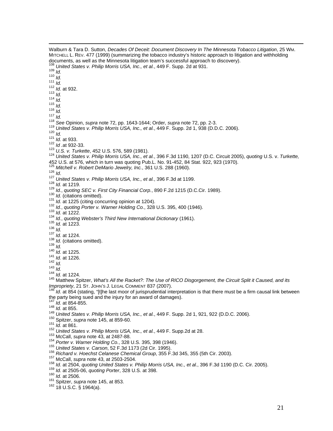<span id="page-22-0"></span>Walburn & Tara D. Sutton, *Decades Of Deceit: Document Discovery In The Minnesota Tobacco Litigation*, 25 WM. MITCHELL L. REV. 477 (1999) (summarizing the tobacco industry's historic approach to litigation and withholding<br>documents, as well as the Minnesota litigation team's successful approach to discovery). documents, as well as the Minnesota litigation team's successful approach to discovery).<br>
1<sup>08</sup> United States v. Philip Morris USA, Inc., et al., 449 F. Supp. 2d at 931.<br>
1<sup>09</sup> Id.<br>
111 Id.<br>
111 Id.<br>
111 Id.<br>
113 Id.<br>
114 [452 U.S. at 576,](http://web2.westlaw.com/find/default.wl?rs=WLW7.07&serialnum=1981126815&fn=_top&sv=Split&tc=-1&findtype=Y&tf=-1&db=708&vr=2.0&rp=%2ffind%2fdefault.wl&mt=LawSchoolPractitioner) which in turn was quoting Pub.L. No. 91-452, 84 Stat. 922, 923 (1970).<br><sup>128</sup> Mitchell v. Robert DeMario Jewelry, Inc., 361 U.S. 288 (1960).<br><sup>128</sup> Mitchell v. Robert DeMario Jewelry, Inc., 361 U.S. 288 (19 *Impropriety*, 21 ST. JOHN'S J. LEGAL COMMENT 837 (2007).<br><sup>146</sup> *Id.* at 854 (stating, "[t]he last moor of jurisprudential interpretation is that there must be a firm causal link between<br>the party being sued and the injury the party being sued and the injury for an award of damages).<br>
<sup>147</sup> *Id.* at 854-855.<br>
<sup>147</sup> *Id.* at 854-855.<br>
<sup>148</sup> *Id.* at 855.<br>
<sup>148</sup> *Id.* at 865.<br>
55 ightzer, supra note 145, at 859-60.<br>
55 ightzer, supra note 145,

 $\overline{a}$